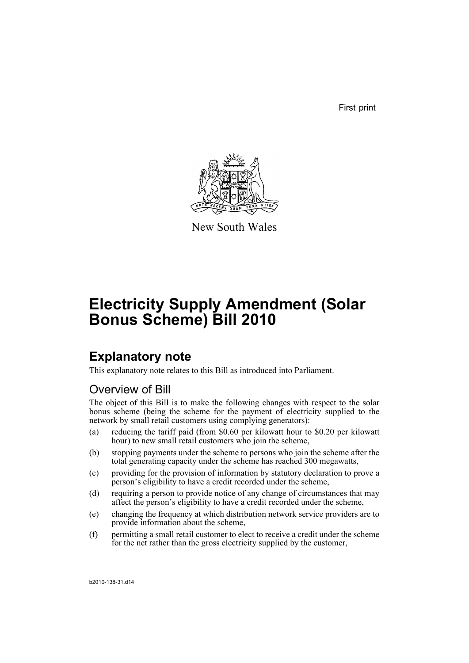First print



New South Wales

# **Electricity Supply Amendment (Solar Bonus Scheme) Bill 2010**

### **Explanatory note**

This explanatory note relates to this Bill as introduced into Parliament.

### Overview of Bill

The object of this Bill is to make the following changes with respect to the solar bonus scheme (being the scheme for the payment of electricity supplied to the network by small retail customers using complying generators):

- (a) reducing the tariff paid (from \$0.60 per kilowatt hour to \$0.20 per kilowatt hour) to new small retail customers who join the scheme,
- (b) stopping payments under the scheme to persons who join the scheme after the total generating capacity under the scheme has reached 300 megawatts,
- (c) providing for the provision of information by statutory declaration to prove a person's eligibility to have a credit recorded under the scheme,
- (d) requiring a person to provide notice of any change of circumstances that may affect the person's eligibility to have a credit recorded under the scheme,
- (e) changing the frequency at which distribution network service providers are to provide information about the scheme,
- (f) permitting a small retail customer to elect to receive a credit under the scheme for the net rather than the gross electricity supplied by the customer,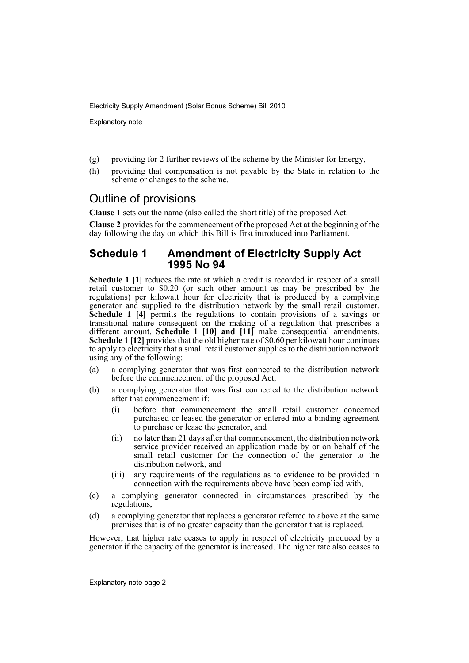Explanatory note

- (g) providing for 2 further reviews of the scheme by the Minister for Energy,
- (h) providing that compensation is not payable by the State in relation to the scheme or changes to the scheme.

### Outline of provisions

**Clause 1** sets out the name (also called the short title) of the proposed Act.

**Clause 2** provides for the commencement of the proposed Act at the beginning of the day following the day on which this Bill is first introduced into Parliament.

#### **Schedule 1 Amendment of Electricity Supply Act 1995 No 94**

**Schedule 1 [1]** reduces the rate at which a credit is recorded in respect of a small retail customer to \$0.20 (or such other amount as may be prescribed by the regulations) per kilowatt hour for electricity that is produced by a complying generator and supplied to the distribution network by the small retail customer. **Schedule 1 [4]** permits the regulations to contain provisions of a savings or transitional nature consequent on the making of a regulation that prescribes a different amount. **Schedule 1 [10] and [11]** make consequential amendments. **Schedule 1 [12]** provides that the old higher rate of \$0.60 per kilowatt hour continues to apply to electricity that a small retail customer supplies to the distribution network using any of the following:

- (a) a complying generator that was first connected to the distribution network before the commencement of the proposed Act,
- (b) a complying generator that was first connected to the distribution network after that commencement if:
	- (i) before that commencement the small retail customer concerned purchased or leased the generator or entered into a binding agreement to purchase or lease the generator, and
	- (ii) no later than 21 days after that commencement, the distribution network service provider received an application made by or on behalf of the small retail customer for the connection of the generator to the distribution network, and
	- (iii) any requirements of the regulations as to evidence to be provided in connection with the requirements above have been complied with,
- (c) a complying generator connected in circumstances prescribed by the regulations,
- (d) a complying generator that replaces a generator referred to above at the same premises that is of no greater capacity than the generator that is replaced.

However, that higher rate ceases to apply in respect of electricity produced by a generator if the capacity of the generator is increased. The higher rate also ceases to

Explanatory note page 2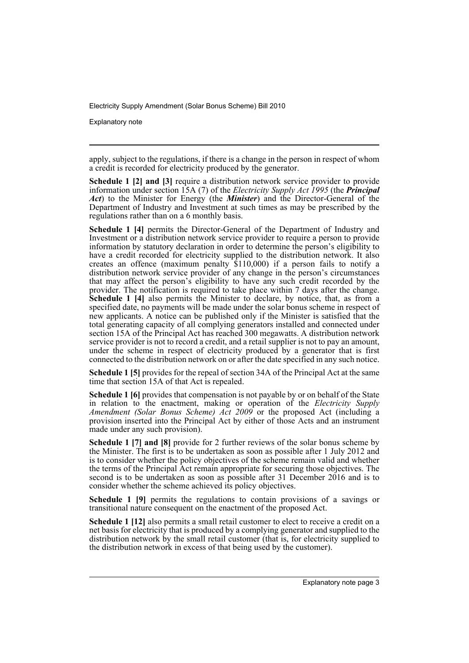Explanatory note

apply, subject to the regulations, if there is a change in the person in respect of whom a credit is recorded for electricity produced by the generator.

**Schedule 1 [2] and [3]** require a distribution network service provider to provide information under section 15A (7) of the *Electricity Supply Act 1995* (the *Principal Act*) to the Minister for Energy (the *Minister*) and the Director-General of the Department of Industry and Investment at such times as may be prescribed by the regulations rather than on a 6 monthly basis.

**Schedule 1 [4]** permits the Director-General of the Department of Industry and Investment or a distribution network service provider to require a person to provide information by statutory declaration in order to determine the person's eligibility to have a credit recorded for electricity supplied to the distribution network. It also creates an offence (maximum penalty  $$110,000$ ) if a person fails to notify a distribution network service provider of any change in the person's circumstances that may affect the person's eligibility to have any such credit recorded by the provider. The notification is required to take place within 7 days after the change. **Schedule 1 [4]** also permits the Minister to declare, by notice, that, as from a specified date, no payments will be made under the solar bonus scheme in respect of new applicants. A notice can be published only if the Minister is satisfied that the total generating capacity of all complying generators installed and connected under section 15A of the Principal Act has reached 300 megawatts. A distribution network service provider is not to record a credit, and a retail supplier is not to pay an amount, under the scheme in respect of electricity produced by a generator that is first connected to the distribution network on or after the date specified in any such notice.

**Schedule 1 [5]** provides for the repeal of section 34A of the Principal Act at the same time that section 15A of that Act is repealed.

**Schedule 1 [6]** provides that compensation is not payable by or on behalf of the State in relation to the enactment, making or operation of the *Electricity Supply Amendment (Solar Bonus Scheme) Act 2009* or the proposed Act (including a provision inserted into the Principal Act by either of those Acts and an instrument made under any such provision).

**Schedule 1 [7] and [8]** provide for 2 further reviews of the solar bonus scheme by the Minister. The first is to be undertaken as soon as possible after 1 July 2012 and is to consider whether the policy objectives of the scheme remain valid and whether the terms of the Principal Act remain appropriate for securing those objectives. The second is to be undertaken as soon as possible after 31 December 2016 and is to consider whether the scheme achieved its policy objectives.

**Schedule 1 [9]** permits the regulations to contain provisions of a savings or transitional nature consequent on the enactment of the proposed Act.

**Schedule 1 [12]** also permits a small retail customer to elect to receive a credit on a net basis for electricity that is produced by a complying generator and supplied to the distribution network by the small retail customer (that is, for electricity supplied to the distribution network in excess of that being used by the customer).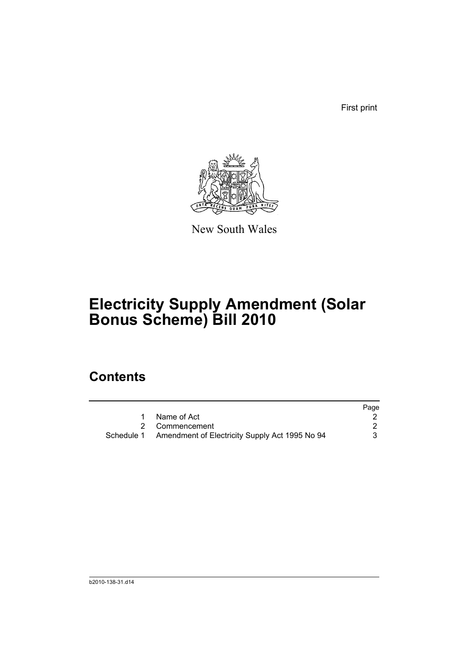First print



New South Wales

## **Electricity Supply Amendment (Solar Bonus Scheme) Bill 2010**

### **Contents**

|                                                           | Page |
|-----------------------------------------------------------|------|
| 1 Name of Act                                             |      |
| 2 Commencement                                            |      |
| Schedule 1 Amendment of Electricity Supply Act 1995 No 94 |      |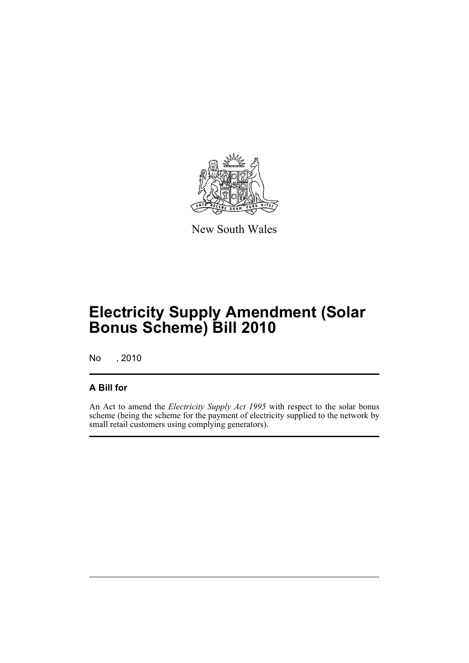

New South Wales

## **Electricity Supply Amendment (Solar Bonus Scheme) Bill 2010**

No , 2010

#### **A Bill for**

An Act to amend the *Electricity Supply Act 1995* with respect to the solar bonus scheme (being the scheme for the payment of electricity supplied to the network by small retail customers using complying generators).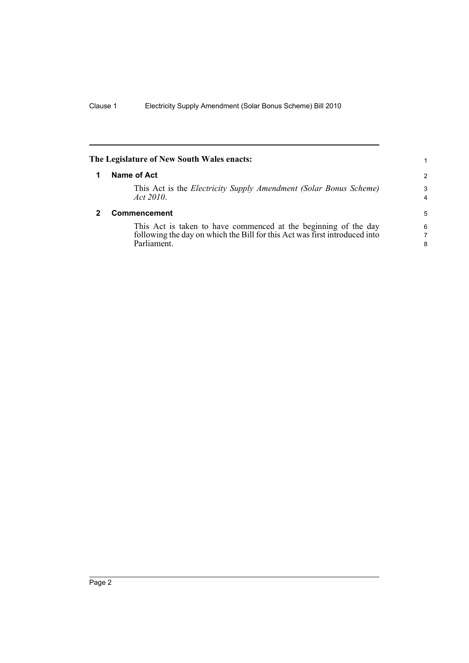<span id="page-7-1"></span><span id="page-7-0"></span>

| The Legislature of New South Wales enacts: |                                                                                                                                                             |                     |
|--------------------------------------------|-------------------------------------------------------------------------------------------------------------------------------------------------------------|---------------------|
|                                            | Name of Act                                                                                                                                                 | 2                   |
|                                            | This Act is the Electricity Supply Amendment (Solar Bonus Scheme)<br>Act 2010.                                                                              | 3<br>$\overline{4}$ |
|                                            | Commencement                                                                                                                                                | 5                   |
|                                            | This Act is taken to have commenced at the beginning of the day<br>following the day on which the Bill for this Act was first introduced into<br>Parliament | 6<br>7<br>8         |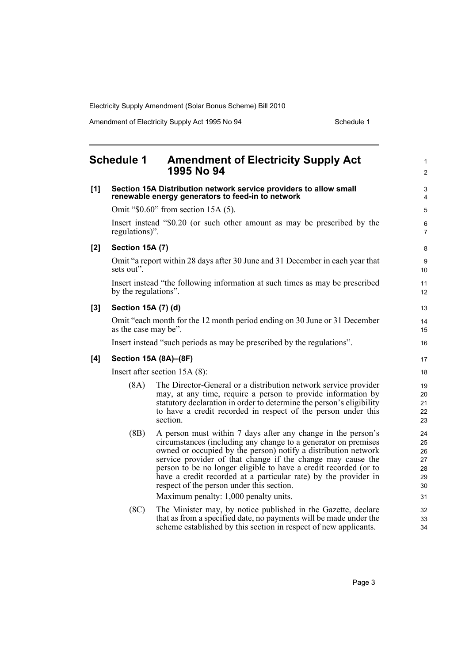Amendment of Electricity Supply Act 1995 No 94 Schedule 1

<span id="page-8-0"></span>

|     | <b>Schedule 1</b>                                                                                                      | <b>Amendment of Electricity Supply Act</b><br>1995 No 94                                                                                                                                                                                                                                                                                                                                                                                            | $\mathbf{1}$<br>$\overline{c}$         |
|-----|------------------------------------------------------------------------------------------------------------------------|-----------------------------------------------------------------------------------------------------------------------------------------------------------------------------------------------------------------------------------------------------------------------------------------------------------------------------------------------------------------------------------------------------------------------------------------------------|----------------------------------------|
| [1] | Section 15A Distribution network service providers to allow small<br>renewable energy generators to feed-in to network |                                                                                                                                                                                                                                                                                                                                                                                                                                                     |                                        |
|     |                                                                                                                        | Omit " $$0.60$ " from section 15A (5).                                                                                                                                                                                                                                                                                                                                                                                                              | 5                                      |
|     | regulations)".                                                                                                         | Insert instead "\$0.20 (or such other amount as may be prescribed by the                                                                                                                                                                                                                                                                                                                                                                            | 6<br>$\overline{7}$                    |
| [2] | <b>Section 15A (7)</b>                                                                                                 |                                                                                                                                                                                                                                                                                                                                                                                                                                                     | 8                                      |
|     | sets out".                                                                                                             | Omit "a report within 28 days after 30 June and 31 December in each year that                                                                                                                                                                                                                                                                                                                                                                       | 9<br>10                                |
|     | by the regulations".                                                                                                   | Insert instead "the following information at such times as may be prescribed                                                                                                                                                                                                                                                                                                                                                                        | 11<br>12                               |
| [3] | Section 15A (7) (d)                                                                                                    |                                                                                                                                                                                                                                                                                                                                                                                                                                                     | 13                                     |
|     | as the case may be".                                                                                                   | Omit "each month for the 12 month period ending on 30 June or 31 December                                                                                                                                                                                                                                                                                                                                                                           | 14<br>15                               |
|     |                                                                                                                        | Insert instead "such periods as may be prescribed by the regulations".                                                                                                                                                                                                                                                                                                                                                                              | 16                                     |
| [4] |                                                                                                                        | Section 15A (8A)-(8F)                                                                                                                                                                                                                                                                                                                                                                                                                               | 17                                     |
|     | Insert after section $15A(8)$ :                                                                                        |                                                                                                                                                                                                                                                                                                                                                                                                                                                     |                                        |
|     | (8A)                                                                                                                   | The Director-General or a distribution network service provider<br>may, at any time, require a person to provide information by<br>statutory declaration in order to determine the person's eligibility<br>to have a credit recorded in respect of the person under this<br>section.                                                                                                                                                                | 19<br>20<br>21<br>22<br>23             |
|     | (BB)                                                                                                                   | A person must within 7 days after any change in the person's<br>circumstances (including any change to a generator on premises<br>owned or occupied by the person) notify a distribution network<br>service provider of that change if the change may cause the<br>person to be no longer eligible to have a credit recorded (or to<br>have a credit recorded at a particular rate) by the provider in<br>respect of the person under this section. | 24<br>25<br>26<br>27<br>28<br>29<br>30 |
|     |                                                                                                                        | Maximum penalty: 1,000 penalty units.                                                                                                                                                                                                                                                                                                                                                                                                               | 31                                     |
|     | (8C)                                                                                                                   | The Minister may, by notice published in the Gazette, declare<br>that as from a specified date, no payments will be made under the<br>scheme established by this section in respect of new applicants.                                                                                                                                                                                                                                              | 32<br>33<br>34                         |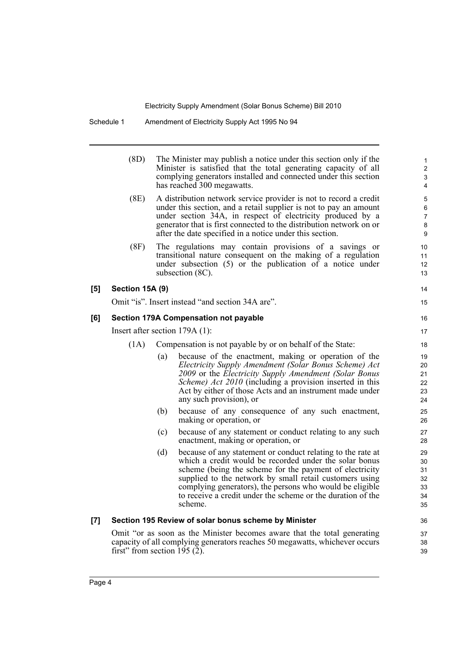| (8D)<br>The Minister may publish a notice under this section only if the<br>Minister is satisfied that the total generating capacity of all<br>complying generators installed and connected under this section<br>has reached 300 megawatts.<br>(8E)<br>A distribution network service provider is not to record a credit<br>under this section, and a retail supplier is not to pay an amount<br>under section 34A, in respect of electricity produced by a<br>generator that is first connected to the distribution network on or<br>after the date specified in a notice under this section.<br>The regulations may contain provisions of a savings or<br>(8F)<br>transitional nature consequent on the making of a regulation<br>under subsection (5) or the publication of a notice under<br>subsection $(8C)$ .<br>[5]<br>Section 15A (9)<br>Omit "is". Insert instead "and section 34A are".<br>[6]<br>Section 179A Compensation not payable<br>Insert after section $179A(1)$ :<br>Compensation is not payable by or on behalf of the State:<br>(1A)<br>because of the enactment, making or operation of the<br>(a)<br>Electricity Supply Amendment (Solar Bonus Scheme) Act<br>2009 or the Electricity Supply Amendment (Solar Bonus<br><i>Scheme) Act 2010</i> (including a provision inserted in this<br>Act by either of those Acts and an instrument made under<br>any such provision), or<br>because of any consequence of any such enactment,<br>(b)<br>making or operation, or<br>because of any statement or conduct relating to any such<br>(c)<br>enactment, making or operation, or<br>because of any statement or conduct relating to the rate at<br>(d)<br>which a credit would be recorded under the solar bonus<br>scheme (being the scheme for the payment of electricity<br>supplied to the network by small retail customers using<br>complying generators), the persons who would be eligible<br>to receive a credit under the scheme or the duration of the<br>scheme.<br>Section 195 Review of solar bonus scheme by Minister<br>$\left[ 7 \right]$<br>Omit "or as soon as the Minister becomes aware that the total generating<br>capacity of all complying generators reaches 50 megawatts, whichever occurs<br>first" from section $195(2)$ . |  |  |  |  |
|--------------------------------------------------------------------------------------------------------------------------------------------------------------------------------------------------------------------------------------------------------------------------------------------------------------------------------------------------------------------------------------------------------------------------------------------------------------------------------------------------------------------------------------------------------------------------------------------------------------------------------------------------------------------------------------------------------------------------------------------------------------------------------------------------------------------------------------------------------------------------------------------------------------------------------------------------------------------------------------------------------------------------------------------------------------------------------------------------------------------------------------------------------------------------------------------------------------------------------------------------------------------------------------------------------------------------------------------------------------------------------------------------------------------------------------------------------------------------------------------------------------------------------------------------------------------------------------------------------------------------------------------------------------------------------------------------------------------------------------------------------------------------------------------------------------------------------------------------------------------------------------------------------------------------------------------------------------------------------------------------------------------------------------------------------------------------------------------------------------------------------------------------------------------------------------------------------------------------------------------------------------------------------|--|--|--|--|
|                                                                                                                                                                                                                                                                                                                                                                                                                                                                                                                                                                                                                                                                                                                                                                                                                                                                                                                                                                                                                                                                                                                                                                                                                                                                                                                                                                                                                                                                                                                                                                                                                                                                                                                                                                                                                                                                                                                                                                                                                                                                                                                                                                                                                                                                                |  |  |  |  |
|                                                                                                                                                                                                                                                                                                                                                                                                                                                                                                                                                                                                                                                                                                                                                                                                                                                                                                                                                                                                                                                                                                                                                                                                                                                                                                                                                                                                                                                                                                                                                                                                                                                                                                                                                                                                                                                                                                                                                                                                                                                                                                                                                                                                                                                                                |  |  |  |  |
|                                                                                                                                                                                                                                                                                                                                                                                                                                                                                                                                                                                                                                                                                                                                                                                                                                                                                                                                                                                                                                                                                                                                                                                                                                                                                                                                                                                                                                                                                                                                                                                                                                                                                                                                                                                                                                                                                                                                                                                                                                                                                                                                                                                                                                                                                |  |  |  |  |
|                                                                                                                                                                                                                                                                                                                                                                                                                                                                                                                                                                                                                                                                                                                                                                                                                                                                                                                                                                                                                                                                                                                                                                                                                                                                                                                                                                                                                                                                                                                                                                                                                                                                                                                                                                                                                                                                                                                                                                                                                                                                                                                                                                                                                                                                                |  |  |  |  |
|                                                                                                                                                                                                                                                                                                                                                                                                                                                                                                                                                                                                                                                                                                                                                                                                                                                                                                                                                                                                                                                                                                                                                                                                                                                                                                                                                                                                                                                                                                                                                                                                                                                                                                                                                                                                                                                                                                                                                                                                                                                                                                                                                                                                                                                                                |  |  |  |  |
|                                                                                                                                                                                                                                                                                                                                                                                                                                                                                                                                                                                                                                                                                                                                                                                                                                                                                                                                                                                                                                                                                                                                                                                                                                                                                                                                                                                                                                                                                                                                                                                                                                                                                                                                                                                                                                                                                                                                                                                                                                                                                                                                                                                                                                                                                |  |  |  |  |
|                                                                                                                                                                                                                                                                                                                                                                                                                                                                                                                                                                                                                                                                                                                                                                                                                                                                                                                                                                                                                                                                                                                                                                                                                                                                                                                                                                                                                                                                                                                                                                                                                                                                                                                                                                                                                                                                                                                                                                                                                                                                                                                                                                                                                                                                                |  |  |  |  |
|                                                                                                                                                                                                                                                                                                                                                                                                                                                                                                                                                                                                                                                                                                                                                                                                                                                                                                                                                                                                                                                                                                                                                                                                                                                                                                                                                                                                                                                                                                                                                                                                                                                                                                                                                                                                                                                                                                                                                                                                                                                                                                                                                                                                                                                                                |  |  |  |  |
|                                                                                                                                                                                                                                                                                                                                                                                                                                                                                                                                                                                                                                                                                                                                                                                                                                                                                                                                                                                                                                                                                                                                                                                                                                                                                                                                                                                                                                                                                                                                                                                                                                                                                                                                                                                                                                                                                                                                                                                                                                                                                                                                                                                                                                                                                |  |  |  |  |
|                                                                                                                                                                                                                                                                                                                                                                                                                                                                                                                                                                                                                                                                                                                                                                                                                                                                                                                                                                                                                                                                                                                                                                                                                                                                                                                                                                                                                                                                                                                                                                                                                                                                                                                                                                                                                                                                                                                                                                                                                                                                                                                                                                                                                                                                                |  |  |  |  |
|                                                                                                                                                                                                                                                                                                                                                                                                                                                                                                                                                                                                                                                                                                                                                                                                                                                                                                                                                                                                                                                                                                                                                                                                                                                                                                                                                                                                                                                                                                                                                                                                                                                                                                                                                                                                                                                                                                                                                                                                                                                                                                                                                                                                                                                                                |  |  |  |  |
|                                                                                                                                                                                                                                                                                                                                                                                                                                                                                                                                                                                                                                                                                                                                                                                                                                                                                                                                                                                                                                                                                                                                                                                                                                                                                                                                                                                                                                                                                                                                                                                                                                                                                                                                                                                                                                                                                                                                                                                                                                                                                                                                                                                                                                                                                |  |  |  |  |
|                                                                                                                                                                                                                                                                                                                                                                                                                                                                                                                                                                                                                                                                                                                                                                                                                                                                                                                                                                                                                                                                                                                                                                                                                                                                                                                                                                                                                                                                                                                                                                                                                                                                                                                                                                                                                                                                                                                                                                                                                                                                                                                                                                                                                                                                                |  |  |  |  |
|                                                                                                                                                                                                                                                                                                                                                                                                                                                                                                                                                                                                                                                                                                                                                                                                                                                                                                                                                                                                                                                                                                                                                                                                                                                                                                                                                                                                                                                                                                                                                                                                                                                                                                                                                                                                                                                                                                                                                                                                                                                                                                                                                                                                                                                                                |  |  |  |  |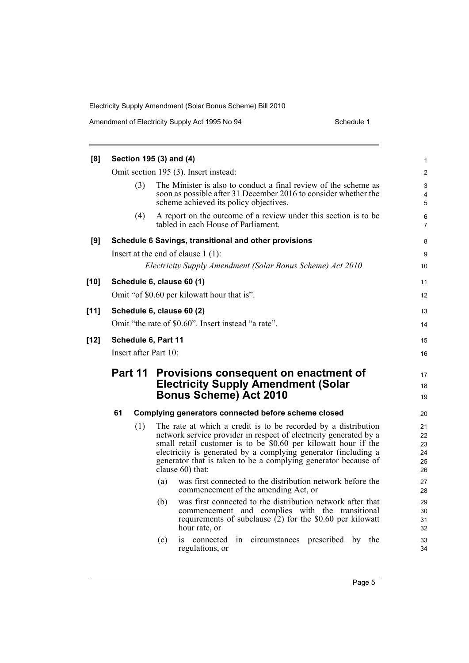| [8]    |                                                            |     | Section 195 (3) and (4)                                                                                                                                                      | $\mathbf{1}$                      |
|--------|------------------------------------------------------------|-----|------------------------------------------------------------------------------------------------------------------------------------------------------------------------------|-----------------------------------|
|        |                                                            |     | Omit section 195 (3). Insert instead:                                                                                                                                        | $\overline{2}$                    |
|        |                                                            | (3) | The Minister is also to conduct a final review of the scheme as<br>soon as possible after 31 December 2016 to consider whether the<br>scheme achieved its policy objectives. | 3<br>$\overline{\mathbf{4}}$<br>5 |
|        |                                                            | (4) | A report on the outcome of a review under this section is to be<br>tabled in each House of Parliament.                                                                       | 6<br>$\overline{7}$               |
| [9]    |                                                            |     | Schedule 6 Savings, transitional and other provisions                                                                                                                        | 8                                 |
|        |                                                            |     | Insert at the end of clause $1(1)$ :                                                                                                                                         | 9                                 |
|        | Electricity Supply Amendment (Solar Bonus Scheme) Act 2010 |     |                                                                                                                                                                              |                                   |
| $[10]$ |                                                            |     | Schedule 6, clause 60 (1)                                                                                                                                                    | 11                                |
|        |                                                            |     | Omit "of \$0.60 per kilowatt hour that is".                                                                                                                                  | 12                                |
| $[11]$ |                                                            |     | Schedule 6, clause 60 (2)                                                                                                                                                    | 13                                |
|        |                                                            |     | Omit "the rate of \$0.60". Insert instead "a rate".                                                                                                                          | 14                                |
| $[12]$ | Schedule 6, Part 11                                        |     |                                                                                                                                                                              | 15                                |
|        | Insert after Part 10:                                      |     |                                                                                                                                                                              | 16                                |
|        | Part 11                                                    |     |                                                                                                                                                                              |                                   |
|        |                                                            |     | Provisions consequent on enactment of<br><b>Electricity Supply Amendment (Solar</b>                                                                                          | 17<br>18                          |
|        | <b>Bonus Scheme) Act 2010</b>                              |     | 19                                                                                                                                                                           |                                   |
|        | 61                                                         |     | Complying generators connected before scheme closed                                                                                                                          | 20                                |
|        |                                                            | (1) | The rate at which a credit is to be recorded by a distribution                                                                                                               | 21                                |
|        |                                                            |     | network service provider in respect of electricity generated by a                                                                                                            | 22                                |
|        |                                                            |     | small retail customer is to be \$0.60 per kilowatt hour if the<br>electricity is generated by a complying generator (including a                                             | 23<br>24                          |
|        |                                                            |     | generator that is taken to be a complying generator because of                                                                                                               | 25                                |
|        |                                                            |     | clause 60) that:                                                                                                                                                             | 26                                |
|        |                                                            |     | was first connected to the distribution network before the<br>(a)<br>commencement of the amending Act, or                                                                    | 27<br>28                          |
|        |                                                            |     | was first connected to the distribution network after that<br>(b)                                                                                                            | 29                                |
|        |                                                            |     | commencement and complies with the transitional                                                                                                                              | 30                                |
|        |                                                            |     | requirements of subclause $(2)$ for the \$0.60 per kilowatt<br>hour rate, or                                                                                                 | 31<br>32                          |
|        |                                                            |     | (c)<br>is connected<br>circumstances prescribed by the<br>in                                                                                                                 | 33                                |
|        |                                                            |     | regulations, or                                                                                                                                                              | 34                                |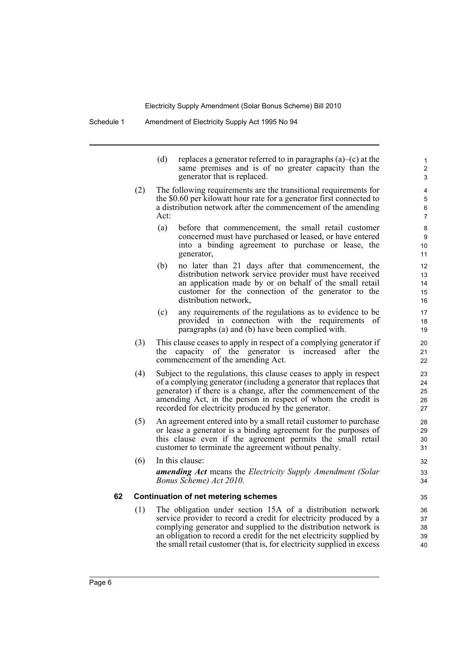(d) replaces a generator referred to in paragraphs  $(a)$ –(c) at the same premises and is of no greater capacity than the generator that is replaced.

- (2) The following requirements are the transitional requirements for the \$0.60 per kilowatt hour rate for a generator first connected to a distribution network after the commencement of the amending Act:
	- (a) before that commencement, the small retail customer concerned must have purchased or leased, or have entered into a binding agreement to purchase or lease, the generator,
	- (b) no later than 21 days after that commencement, the distribution network service provider must have received an application made by or on behalf of the small retail customer for the connection of the generator to the distribution network,
	- (c) any requirements of the regulations as to evidence to be provided in connection with the requirements of paragraphs (a) and (b) have been complied with.
- (3) This clause ceases to apply in respect of a complying generator if the capacity of the generator is increased after the commencement of the amending Act.
- (4) Subject to the regulations, this clause ceases to apply in respect of a complying generator (including a generator that replaces that generator) if there is a change, after the commencement of the amending Act, in the person in respect of whom the credit is recorded for electricity produced by the generator.
- (5) An agreement entered into by a small retail customer to purchase or lease a generator is a binding agreement for the purposes of this clause even if the agreement permits the small retail customer to terminate the agreement without penalty.
- (6) In this clause: *amending Act* means the *Electricity Supply Amendment (Solar Bonus Scheme) Act 2010*.

#### **62 Continuation of net metering schemes**

(1) The obligation under section 15A of a distribution network service provider to record a credit for electricity produced by a complying generator and supplied to the distribution network is an obligation to record a credit for the net electricity supplied by the small retail customer (that is, for electricity supplied in excess